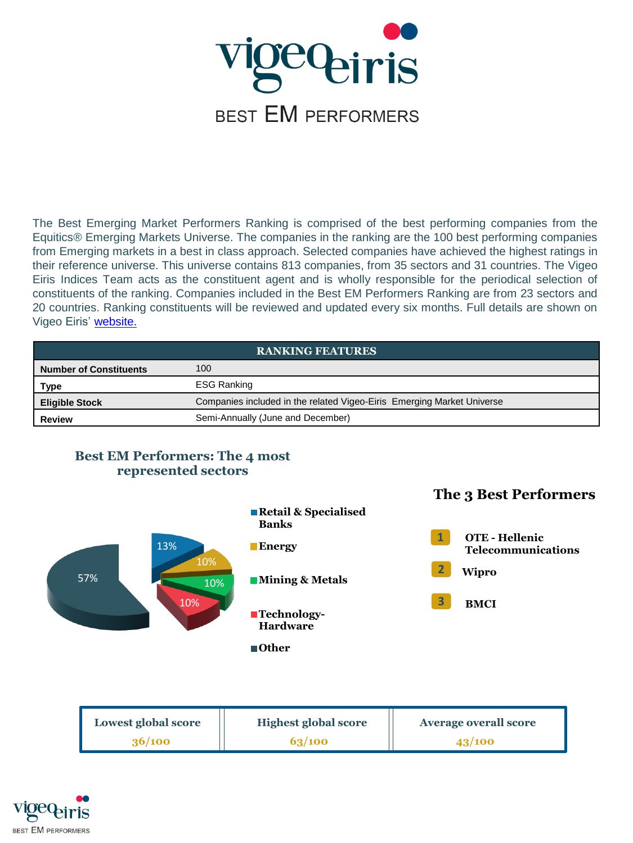

The Best Emerging Market Performers Ranking is comprised of the best performing companies from the Equitics® Emerging Markets Universe. The companies in the ranking are the 100 best performing companies from Emerging markets in a best in class approach. Selected companies have achieved the highest ratings in their reference universe. This universe contains 813 companies, from 35 sectors and 31 countries. The Vigeo Eiris Indices Team acts as the constituent agent and is wholly responsible for the periodical selection of constituents of the ranking. Companies included in the Best EM Performers Ranking are from 23 sectors and 20 countries. Ranking constituents will be reviewed and updated every six months. Full details are shown on Vigeo Eiris' [website.](http://www.vigeo-eiris.com/solutions-for-investors/esg-indices-ranking/ranking-vigeo-eiris-emerging-70/)

| <b>RANKING FEATURES</b>       |                                                                        |  |
|-------------------------------|------------------------------------------------------------------------|--|
| <b>Number of Constituents</b> | 100                                                                    |  |
| Type                          | <b>ESG Ranking</b>                                                     |  |
| <b>Eligible Stock</b>         | Companies included in the related Vigeo-Eiris Emerging Market Universe |  |
| <b>Review</b>                 | Semi-Annually (June and December)                                      |  |



| Lowest global score | <b>Highest global score</b> | <b>Average overall score</b> |
|---------------------|-----------------------------|------------------------------|
| 36/100              | 63/100                      | 43/100                       |

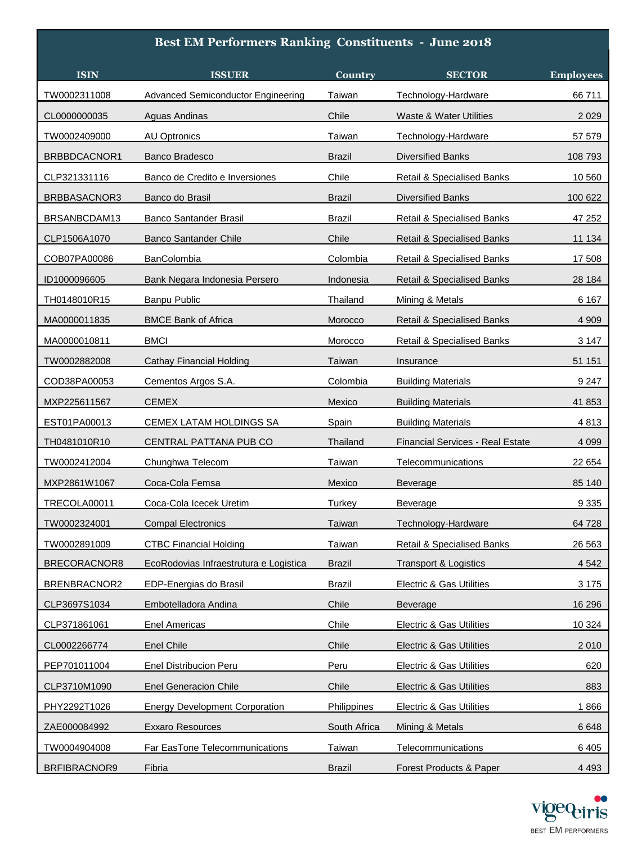## **Best EM Performers Ranking Constituents - June 2018**

| <b>ISIN</b>  | <b>ISSUER</b>                          | Country       | <b>SECTOR</b>                         | <b>Employees</b> |
|--------------|----------------------------------------|---------------|---------------------------------------|------------------|
| TW0002311008 | Advanced Semiconductor Engineering     | Taiwan        | Technology-Hardware                   | 66 711           |
| CL0000000035 | Aguas Andinas                          | Chile         | <b>Waste &amp; Water Utilities</b>    | 2 0 2 9          |
| TW0002409000 | <b>AU Optronics</b>                    | Taiwan        | Technology-Hardware                   | 57 579           |
| BRBBDCACNOR1 | <b>Banco Bradesco</b>                  | <b>Brazil</b> | <b>Diversified Banks</b>              | 108 793          |
| CLP321331116 | Banco de Credito e Inversiones         | Chile         | Retail & Specialised Banks            | 10 560           |
| BRBBASACNOR3 | Banco do Brasil                        | <b>Brazil</b> | <b>Diversified Banks</b>              | 100 622          |
| BRSANBCDAM13 | <b>Banco Santander Brasil</b>          | Brazil        | Retail & Specialised Banks            | 47 252           |
| CLP1506A1070 | <b>Banco Santander Chile</b>           | Chile         | <b>Retail &amp; Specialised Banks</b> | 11 134           |
| COB07PA00086 | <b>BanColombia</b>                     | Colombia      | Retail & Specialised Banks            | 17 508           |
| ID1000096605 | Bank Negara Indonesia Persero          | Indonesia     | <b>Retail &amp; Specialised Banks</b> | 28 184           |
| TH0148010R15 | Banpu Public                           | Thailand      | Mining & Metals                       | 6 1 6 7          |
| MA0000011835 | <b>BMCE Bank of Africa</b>             | Morocco       | Retail & Specialised Banks            | 4 9 0 9          |
| MA0000010811 | <b>BMCI</b>                            | Morocco       | Retail & Specialised Banks            | 3 1 4 7          |
| TW0002882008 | <b>Cathay Financial Holding</b>        | Taiwan        | Insurance                             | 51 151           |
| COD38PA00053 | Cementos Argos S.A.                    | Colombia      | <b>Building Materials</b>             | 9 2 4 7          |
| MXP225611567 | <b>CEMEX</b>                           | Mexico        | <b>Building Materials</b>             | 41 853           |
| EST01PA00013 | CEMEX LATAM HOLDINGS SA                | Spain         | <b>Building Materials</b>             | 4813             |
| TH0481010R10 | CENTRAL PATTANA PUB CO                 | Thailand      | Financial Services - Real Estate      | 4 0 9 9          |
| TW0002412004 | Chunghwa Telecom                       | Taiwan        | Telecommunications                    | 22 654           |
| MXP2861W1067 | Coca-Cola Femsa                        | Mexico        | Beverage                              | 85 140           |
| TRECOLA00011 | Coca-Cola Icecek Uretim                | Turkey        | Beverage                              | 9 3 3 5          |
| TW0002324001 | <b>Compal Electronics</b>              | Taiwan        | Technology-Hardware                   | 64 728           |
| TW0002891009 | <b>CTBC Financial Holding</b>          | Taiwan        | Retail & Specialised Banks            | 26 5 63          |
| BRECORACNOR8 | EcoRodovias Infraestrutura e Logistica | <b>Brazil</b> | <b>Transport &amp; Logistics</b>      | 4 5 4 2          |
| BRENBRACNOR2 | EDP-Energias do Brasil                 | Brazil        | Electric & Gas Utilities              | 3 1 7 5          |
| CLP3697S1034 | Embotelladora Andina                   | Chile         | <b>Beverage</b>                       | 16 29 6          |
| CLP371861061 | Enel Americas                          | Chile         | <b>Electric &amp; Gas Utilities</b>   | 10 3 24          |
| CL0002266774 | Enel Chile                             | Chile         | Electric & Gas Utilities              | 2 0 1 0          |
| PEP701011004 | Enel Distribucion Peru                 | Peru          | Electric & Gas Utilities              | 620              |
| CLP3710M1090 | <b>Enel Generacion Chile</b>           | Chile         | Electric & Gas Utilities              | 883              |
| PHY2292T1026 | <b>Energy Development Corporation</b>  | Philippines   | Electric & Gas Utilities              | 1866             |
| ZAE000084992 | <b>Exxaro Resources</b>                | South Africa  | Mining & Metals                       | 6 6 4 8          |
| TW0004904008 | Far EasTone Telecommunications         | Taiwan        | Telecommunications                    | 6 4 0 5          |
| BRFIBRACNOR9 | Fibria                                 | <b>Brazil</b> | Forest Products & Paper               | 4 4 9 3          |

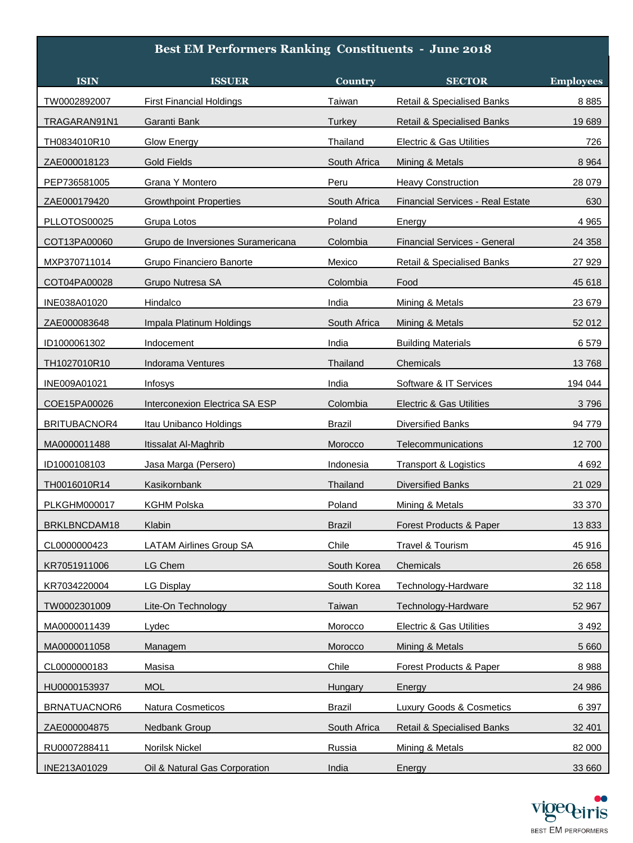| <b>Best EM Performers Ranking Constituents - June 2018</b> |                                   |                |                                         |                  |  |
|------------------------------------------------------------|-----------------------------------|----------------|-----------------------------------------|------------------|--|
| <b>ISIN</b>                                                | <b>ISSUER</b>                     | <b>Country</b> | <b>SECTOR</b>                           | <b>Employees</b> |  |
| TW0002892007                                               | <b>First Financial Holdings</b>   | Taiwan         | Retail & Specialised Banks              | 8885             |  |
| TRAGARAN91N1                                               | Garanti Bank                      | Turkey         | <b>Retail &amp; Specialised Banks</b>   | 19 689           |  |
| TH0834010R10                                               | Glow Energy                       | Thailand       | Electric & Gas Utilities                | 726              |  |
| ZAE000018123                                               | <b>Gold Fields</b>                | South Africa   | Mining & Metals                         | 8 9 6 4          |  |
| PEP736581005                                               | Grana Y Montero                   | Peru           | <b>Heavy Construction</b>               | 28 0 79          |  |
| ZAE000179420                                               | <b>Growthpoint Properties</b>     | South Africa   | <b>Financial Services - Real Estate</b> | 630              |  |
| PLLOTOS00025                                               | Grupa Lotos                       | Poland         | Energy                                  | 4 9 6 5          |  |
| COT13PA00060                                               | Grupo de Inversiones Suramericana | Colombia       | Financial Services - General            | 24 358           |  |
| MXP370711014                                               | Grupo Financiero Banorte          | Mexico         | Retail & Specialised Banks              | 27 9 29          |  |
| COT04PA00028                                               | Grupo Nutresa SA                  | Colombia       | Food                                    | 45 618           |  |
| INE038A01020                                               | Hindalco                          | India          | Mining & Metals                         | 23 679           |  |
| ZAE000083648                                               | Impala Platinum Holdings          | South Africa   | Mining & Metals                         | 52 012           |  |
| ID1000061302                                               | Indocement                        | India          | <b>Building Materials</b>               | 6579             |  |
| TH1027010R10                                               | <b>Indorama Ventures</b>          | Thailand       | Chemicals                               | 13768            |  |
| INE009A01021                                               | Infosys                           | India          | Software & IT Services                  | 194 044          |  |
| COE15PA00026                                               | Interconexion Electrica SA ESP    | Colombia       | Electric & Gas Utilities                | 3796             |  |
| BRITUBACNOR4                                               | Itau Unibanco Holdings            | Brazil         | Diversified Banks                       | 94 779           |  |
| MA0000011488                                               | Itissalat Al-Maghrib              | Morocco        | Telecommunications                      | 12 700           |  |
| ID1000108103                                               | Jasa Marga (Persero)              | Indonesia      | <b>Transport &amp; Logistics</b>        | 4 6 9 2          |  |
| TH0016010R14                                               | Kasikornbank                      | Thailand       | Diversified Banks                       | 21 0 29          |  |
| <b>PLKGHM000017</b>                                        | <b>KGHM Polska</b>                | Poland         | Mining & Metals                         | 33 370           |  |
| BRKLBNCDAM18                                               | Klabin                            | Brazil         | Forest Products & Paper                 | 13833            |  |
| CL0000000423                                               | <b>LATAM Airlines Group SA</b>    | Chile          | Travel & Tourism                        | 45 916           |  |
| KR7051911006                                               | LG Chem                           | South Korea    | Chemicals                               | 26 658           |  |
| KR7034220004                                               | <b>LG Display</b>                 | South Korea    | Technology-Hardware                     | 32 118           |  |
| TW0002301009                                               | Lite-On Technology                | Taiwan         | Technology-Hardware                     | 52 967           |  |
| MA0000011439                                               | Lydec                             | Morocco        | Electric & Gas Utilities                | 3 4 9 2          |  |
| MA0000011058                                               | Managem                           | Morocco        | Mining & Metals                         | 5 6 6 0          |  |
| CL0000000183                                               | Masisa                            | Chile          | Forest Products & Paper                 | 8988             |  |
| HU0000153937                                               | <b>MOL</b>                        | Hungary        | Energy                                  | 24 986           |  |
| BRNATUACNOR6                                               | Natura Cosmeticos                 | <b>Brazil</b>  | Luxury Goods & Cosmetics                | 6 3 9 7          |  |
| ZAE000004875                                               | Nedbank Group                     | South Africa   | <b>Retail &amp; Specialised Banks</b>   | 32 401           |  |
| RU0007288411                                               | <b>Norilsk Nickel</b>             | Russia         | Mining & Metals                         | 82 000           |  |
| INE213A01029                                               | Oil & Natural Gas Corporation     | India          | Energy                                  | 33 660           |  |

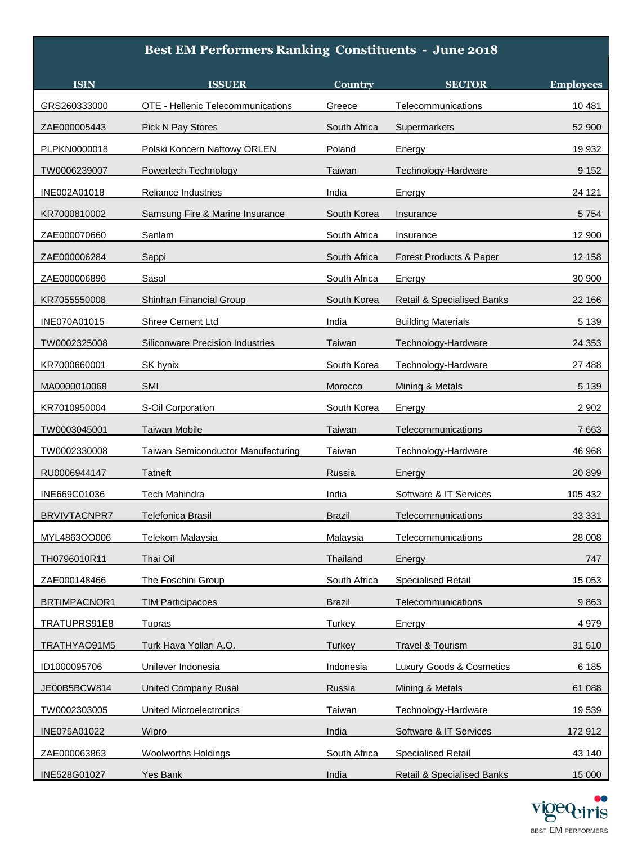## **Best EM Performers Ranking Constituents - June 2018**

| <b>ISIN</b>         | <b>ISSUER</b>                           | Country       | <b>SECTOR</b>                         | <b>Employees</b> |
|---------------------|-----------------------------------------|---------------|---------------------------------------|------------------|
| GRS260333000        | OTE - Hellenic Telecommunications       | Greece        | Telecommunications                    | 10 481           |
| ZAE000005443        | Pick N Pay Stores                       | South Africa  | Supermarkets                          | 52 900           |
| PLPKN0000018        | Polski Koncern Naftowy ORLEN            | Poland        | Energy                                | 19 932           |
| TW0006239007        | Powertech Technology                    | Taiwan        | Technology-Hardware                   | 9 1 5 2          |
| INE002A01018        | Reliance Industries                     | India         | Energy                                | 24 121           |
| KR7000810002        | Samsung Fire & Marine Insurance         | South Korea   | Insurance                             | 5 7 5 4          |
| ZAE000070660        | Sanlam                                  | South Africa  | Insurance                             | 12 900           |
| ZAE000006284        | Sappi                                   | South Africa  | Forest Products & Paper               | 12 158           |
| ZAE000006896        | Sasol                                   | South Africa  | Energy                                | 30 900           |
| KR7055550008        | Shinhan Financial Group                 | South Korea   | <b>Retail &amp; Specialised Banks</b> | 22 166           |
| INE070A01015        | Shree Cement Ltd                        | India         | <b>Building Materials</b>             | 5 1 3 9          |
| TW0002325008        | <b>Siliconware Precision Industries</b> | Taiwan        | Technology-Hardware                   | 24 3 53          |
| KR7000660001        | SK hynix                                | South Korea   | Technology-Hardware                   | 27 488           |
| MA0000010068        | SMI                                     | Morocco       | Mining & Metals                       | 5 1 3 9          |
| KR7010950004        | S-Oil Corporation                       | South Korea   | Energy                                | 2 9 0 2          |
| TW0003045001        | Taiwan Mobile                           | Taiwan        | Telecommunications                    | 7663             |
| TW0002330008        | Taiwan Semiconductor Manufacturing      | Taiwan        | Technology-Hardware                   | 46 968           |
| RU0006944147        | Tatneft                                 | Russia        | Energy                                | 20 899           |
| INE669C01036        | Tech Mahindra                           | India         | Software & IT Services                | 105 432          |
| <b>BRVIVTACNPR7</b> | Telefonica Brasil                       | Brazil        | Telecommunications                    | 33 331           |
| MYL4863OO006        | Telekom Malaysia                        | Malaysia      | Telecommunications                    | 28 008           |
| TH0796010R11        | Thai Oil                                | Thailand      | Energy                                | 747              |
| ZAE000148466        | The Foschini Group                      | South Africa  | <b>Specialised Retail</b>             | 15 0 53          |
| BRTIMPACNOR1        | <b>TIM Participacoes</b>                | <b>Brazil</b> | Telecommunications                    | 9863             |
| TRATUPRS91E8        | Tupras                                  | Turkey        | Energy                                | 4979             |
| TRATHYAO91M5        | Turk Hava Yollari A.O.                  | Turkey        | Travel & Tourism                      | 31 510           |
| ID1000095706        | Unilever Indonesia                      | Indonesia     | Luxury Goods & Cosmetics              | 6 1 8 5          |
| JE00B5BCW814        | <b>United Company Rusal</b>             | Russia        | Mining & Metals                       | 61 088           |
| TW0002303005        | <b>United Microelectronics</b>          | Taiwan        | Technology-Hardware                   | 19 539           |
| INE075A01022        | Wipro                                   | India         | Software & IT Services                | 172 912          |
| ZAE000063863        | Woolworths Holdings                     | South Africa  | <b>Specialised Retail</b>             | 43 140           |
| INE528G01027        | Yes Bank                                | India         | Retail & Specialised Banks            | 15 000           |